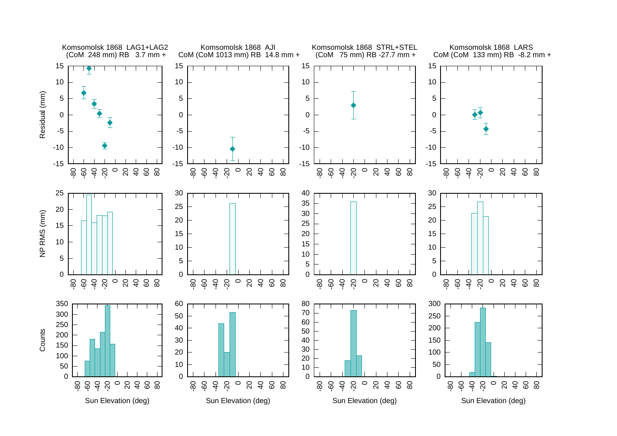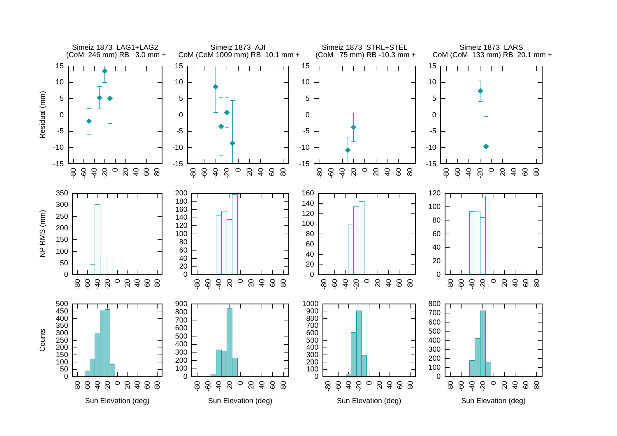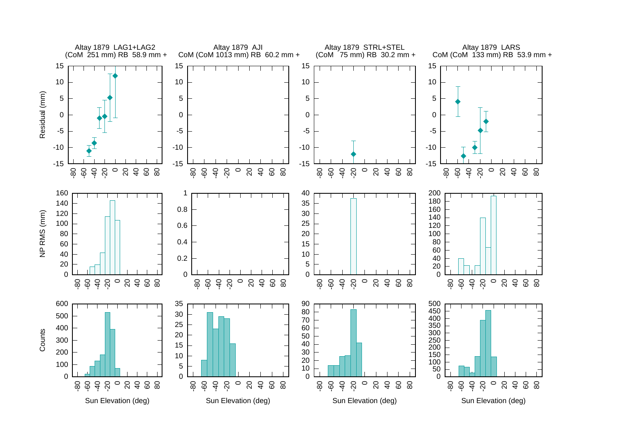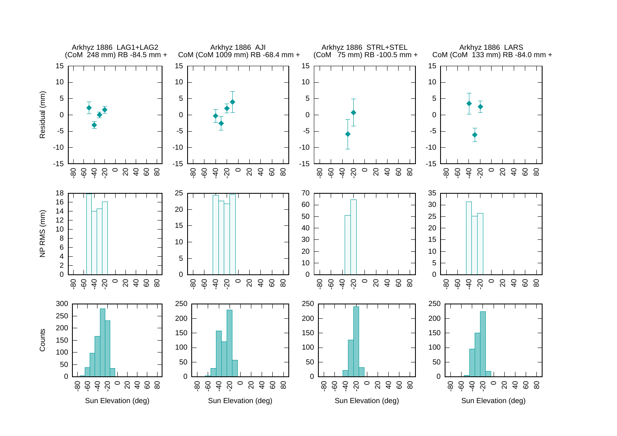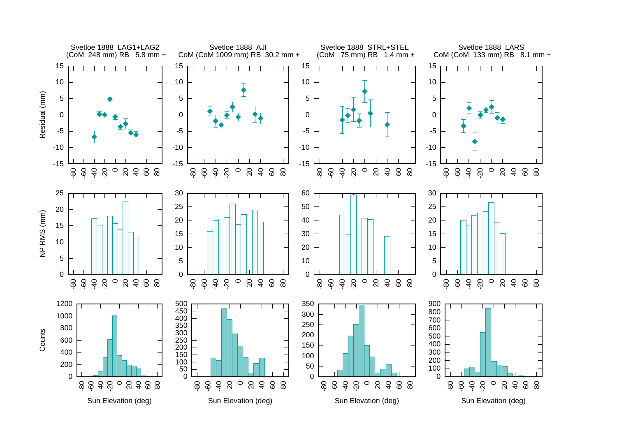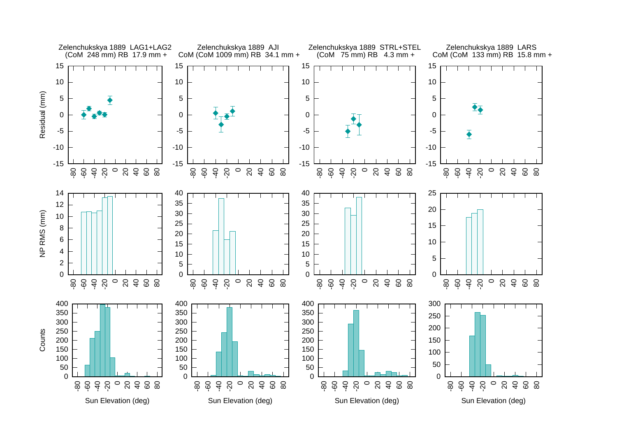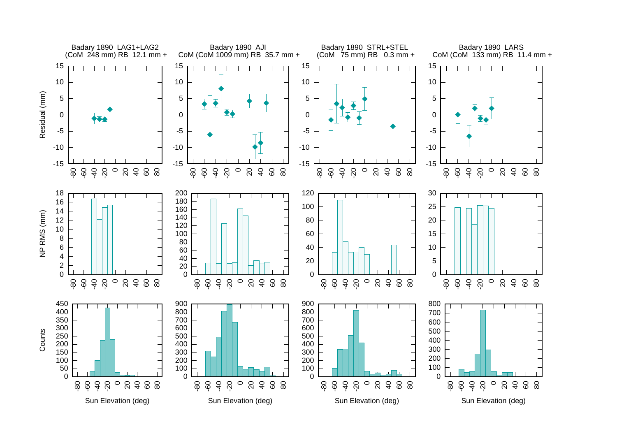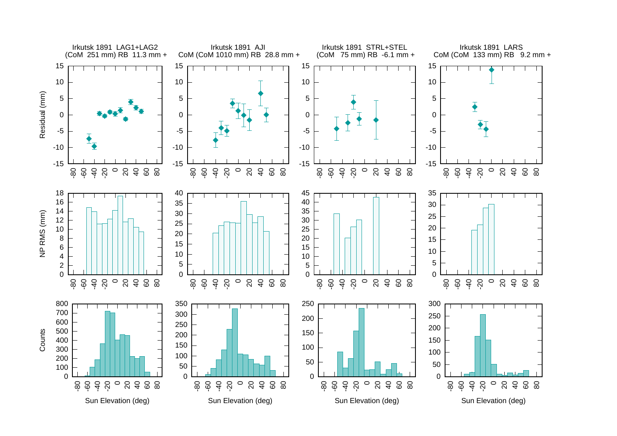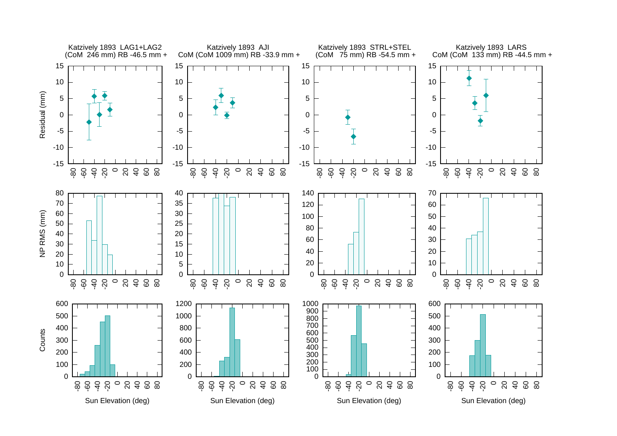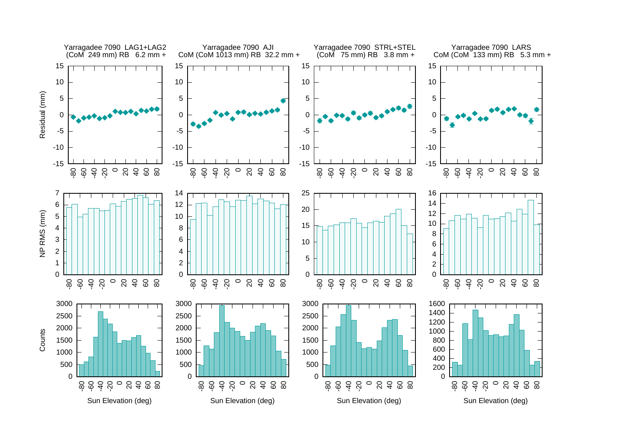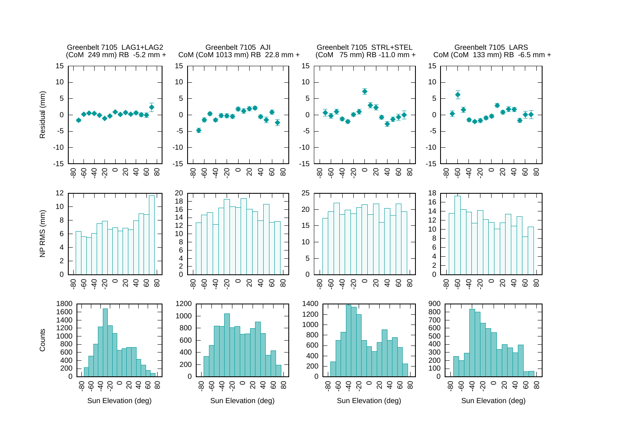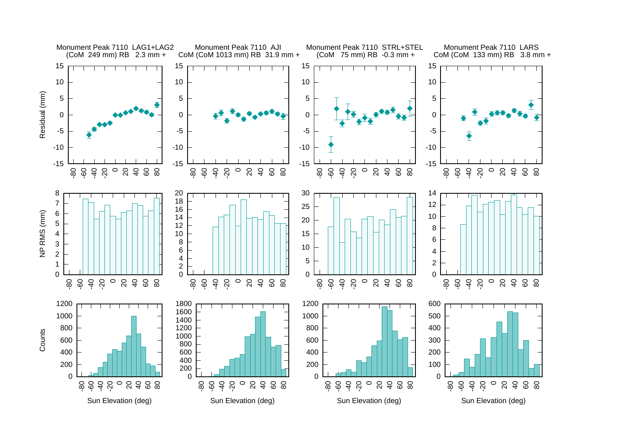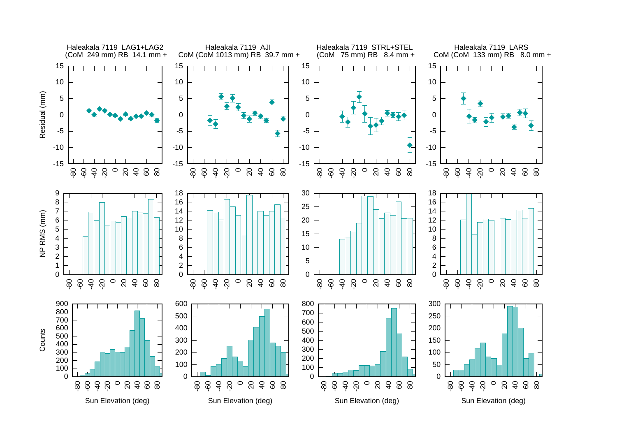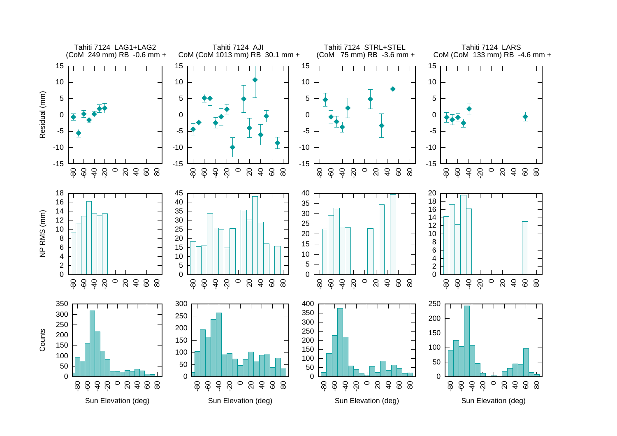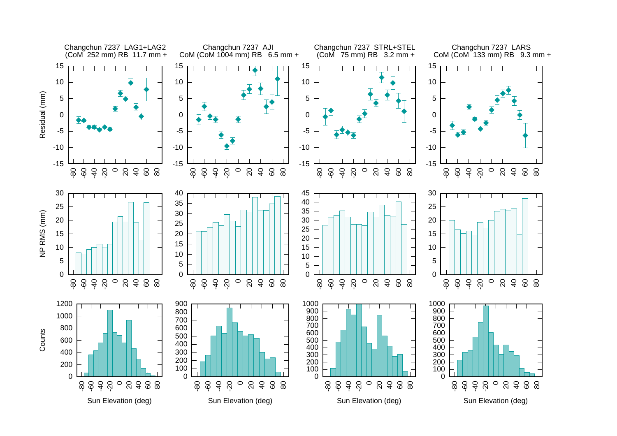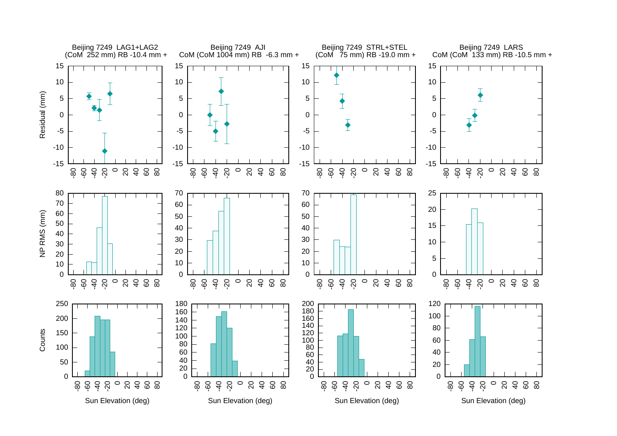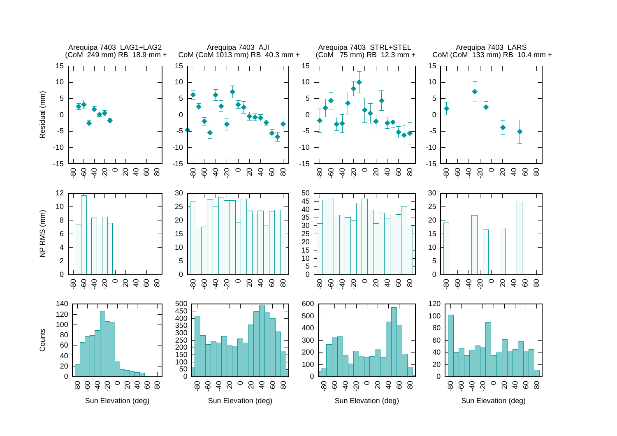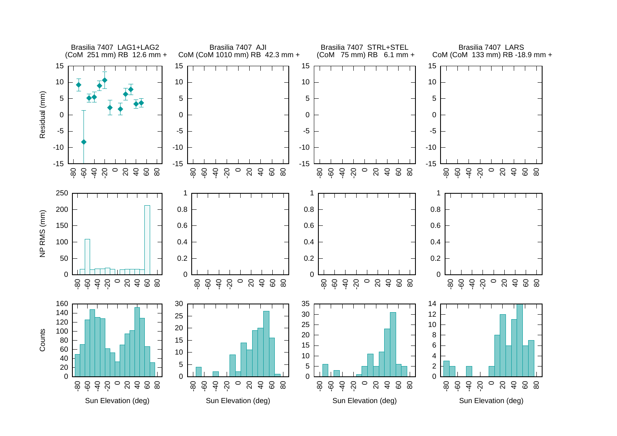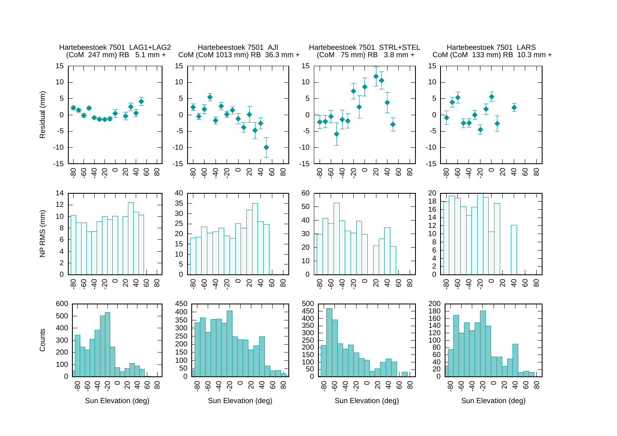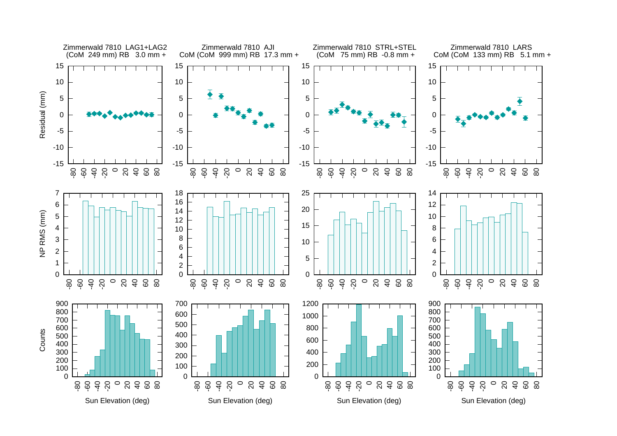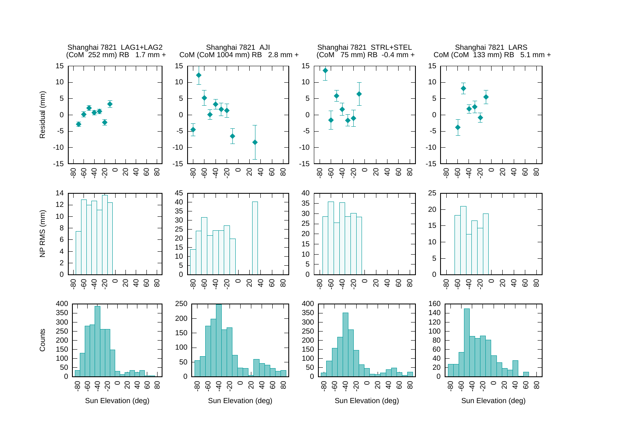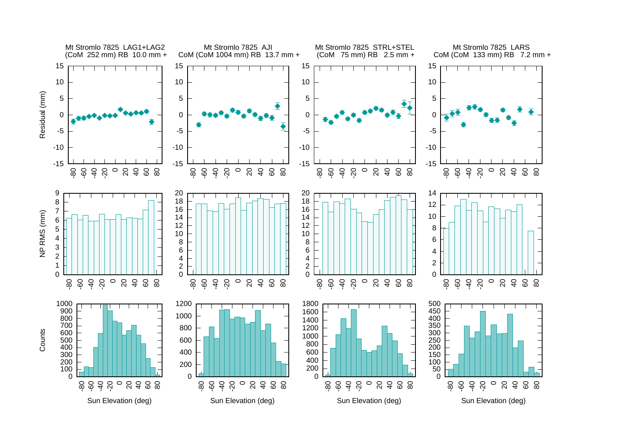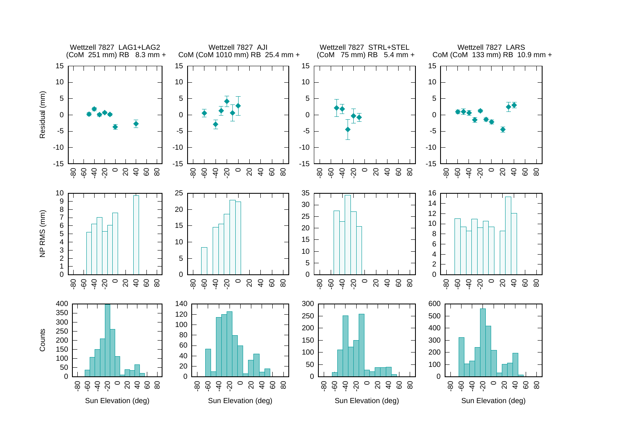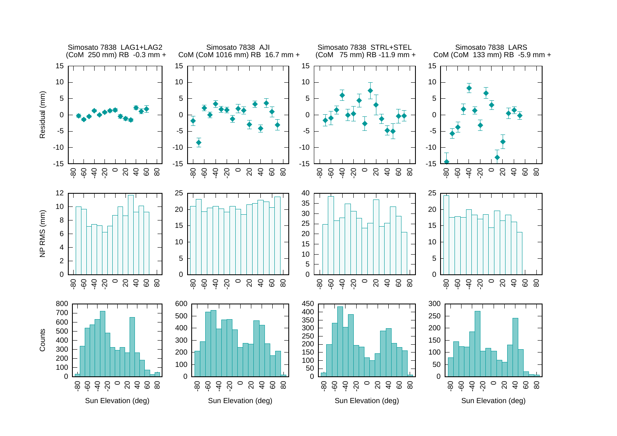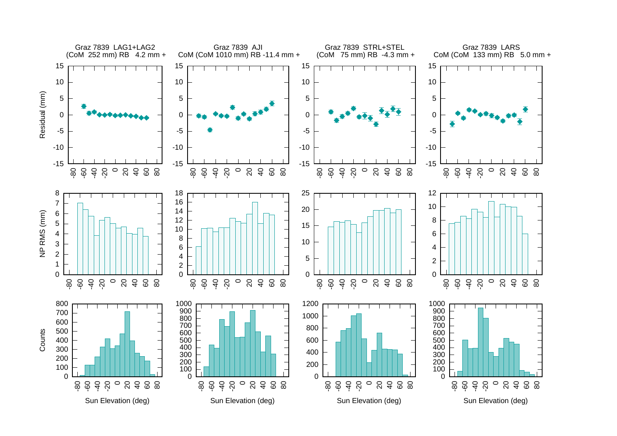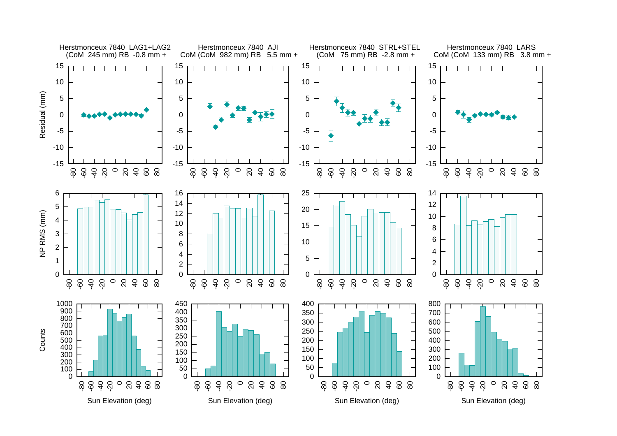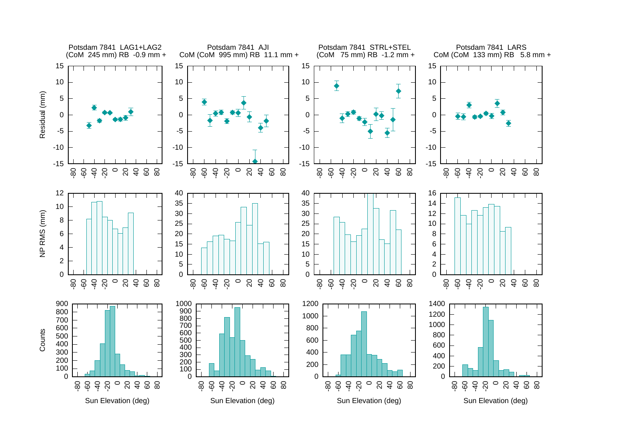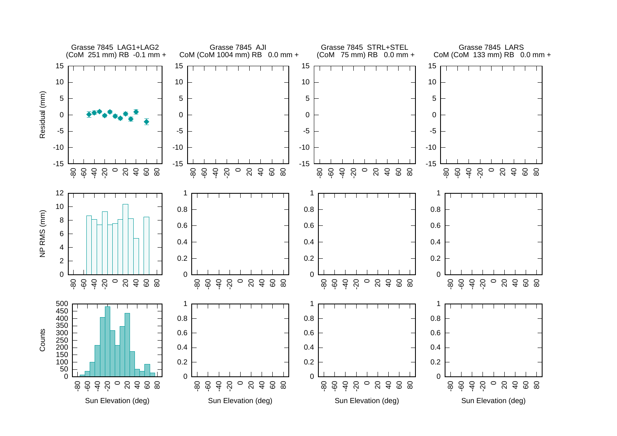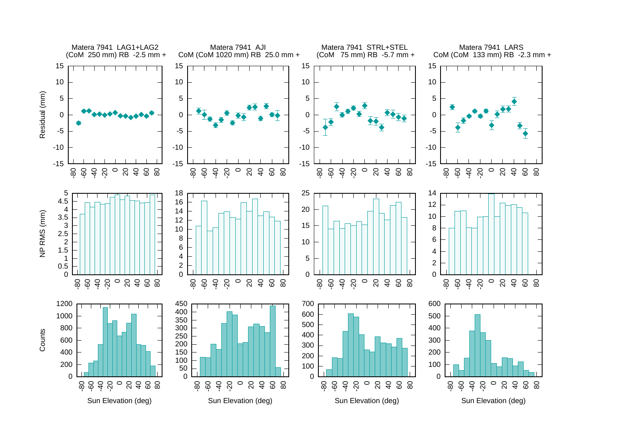